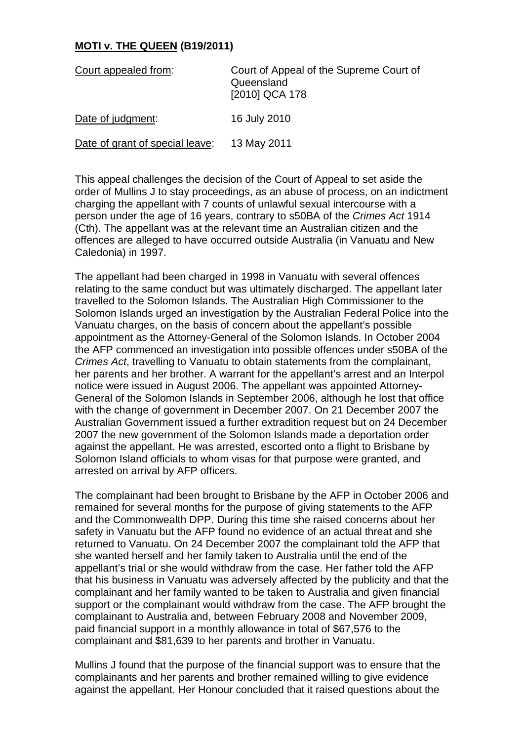## **MOTI v. THE QUEEN (B19/2011)**

| Court appealed from:            | Court of Appeal of the Supreme Court of<br>Queensland<br>[2010] QCA 178 |
|---------------------------------|-------------------------------------------------------------------------|
| Date of judgment:               | 16 July 2010                                                            |
| Date of grant of special leave: | 13 May 2011                                                             |

This appeal challenges the decision of the Court of Appeal to set aside the order of Mullins J to stay proceedings, as an abuse of process, on an indictment charging the appellant with 7 counts of unlawful sexual intercourse with a person under the age of 16 years, contrary to s50BA of the *Crimes Act* 1914 (Cth). The appellant was at the relevant time an Australian citizen and the offences are alleged to have occurred outside Australia (in Vanuatu and New Caledonia) in 1997.

The appellant had been charged in 1998 in Vanuatu with several offences relating to the same conduct but was ultimately discharged. The appellant later travelled to the Solomon Islands. The Australian High Commissioner to the Solomon Islands urged an investigation by the Australian Federal Police into the Vanuatu charges, on the basis of concern about the appellant's possible appointment as the Attorney-General of the Solomon Islands. In October 2004 the AFP commenced an investigation into possible offences under s50BA of the *Crimes Act*, travelling to Vanuatu to obtain statements from the complainant, her parents and her brother. A warrant for the appellant's arrest and an Interpol notice were issued in August 2006. The appellant was appointed Attorney-General of the Solomon Islands in September 2006, although he lost that office with the change of government in December 2007. On 21 December 2007 the Australian Government issued a further extradition request but on 24 December 2007 the new government of the Solomon Islands made a deportation order against the appellant. He was arrested, escorted onto a flight to Brisbane by Solomon Island officials to whom visas for that purpose were granted, and arrested on arrival by AFP officers.

The complainant had been brought to Brisbane by the AFP in October 2006 and remained for several months for the purpose of giving statements to the AFP and the Commonwealth DPP. During this time she raised concerns about her safety in Vanuatu but the AFP found no evidence of an actual threat and she returned to Vanuatu. On 24 December 2007 the complainant told the AFP that she wanted herself and her family taken to Australia until the end of the appellant's trial or she would withdraw from the case. Her father told the AFP that his business in Vanuatu was adversely affected by the publicity and that the complainant and her family wanted to be taken to Australia and given financial support or the complainant would withdraw from the case. The AFP brought the complainant to Australia and, between February 2008 and November 2009, paid financial support in a monthly allowance in total of \$67,576 to the complainant and \$81,639 to her parents and brother in Vanuatu.

Mullins J found that the purpose of the financial support was to ensure that the complainants and her parents and brother remained willing to give evidence against the appellant. Her Honour concluded that it raised questions about the